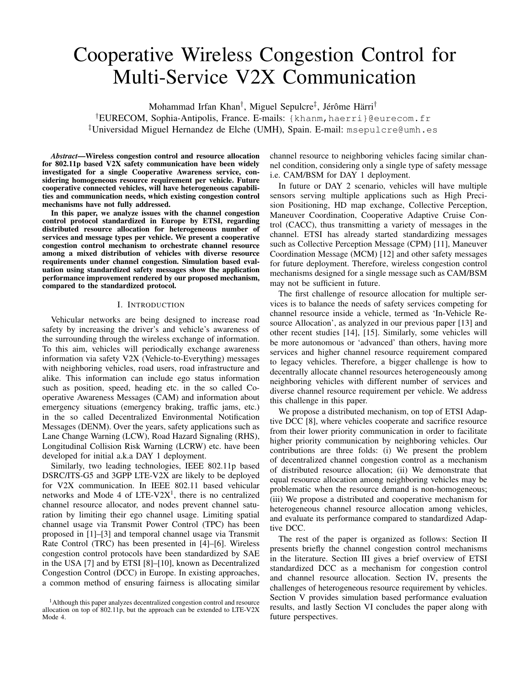# Cooperative Wireless Congestion Control for Multi-Service V2X Communication

Mohammad Irfan Khan† , Miguel Sepulcre‡ , Jérôme Härri† †EURECOM, Sophia-Antipolis, France. E-mails: {khanm,haerri}@eurecom.fr ‡Universidad Miguel Hernandez de Elche (UMH), Spain. E-mail: msepulcre@umh.es

*Abstract*—Wireless congestion control and resource allocation for 802.11p based V2X safety communication have been widely investigated for a single Cooperative Awareness service, considering homogeneous resource requirement per vehicle. Future cooperative connected vehicles, will have heterogeneous capabilities and communication needs, which existing congestion control mechanisms have not fully addressed.

In this paper, we analyze issues with the channel congestion control protocol standardized in Europe by ETSI, regarding distributed resource allocation for heterogeneous number of services and message types per vehicle. We present a cooperative congestion control mechanism to orchestrate channel resource among a mixed distribution of vehicles with diverse resource requirements under channel congestion. Simulation based evaluation using standardized safety messages show the application performance improvement rendered by our proposed mechanism, compared to the standardized protocol.

#### I. INTRODUCTION

Vehicular networks are being designed to increase road safety by increasing the driver's and vehicle's awareness of the surrounding through the wireless exchange of information. To this aim, vehicles will periodically exchange awareness information via safety V2X (Vehicle-to-Everything) messages with neighboring vehicles, road users, road infrastructure and alike. This information can include ego status information such as position, speed, heading etc. in the so called Cooperative Awareness Messages (CAM) and information about emergency situations (emergency braking, traffic jams, etc.) in the so called Decentralized Environmental Notification Messages (DENM). Over the years, safety applications such as Lane Change Warning (LCW), Road Hazard Signaling (RHS), Longitudinal Collision Risk Warning (LCRW) etc. have been developed for initial a.k.a DAY 1 deployment.

Similarly, two leading technologies, IEEE 802.11p based DSRC/ITS-G5 and 3GPP LTE-V2X are likely to be deployed for V2X communication. In IEEE 802.11 based vehicular networks and Mode 4 of  $LTE-V2X<sup>1</sup>$ , there is no centralized channel resource allocator, and nodes prevent channel saturation by limiting their ego channel usage. Limiting spatial channel usage via Transmit Power Control (TPC) has been proposed in [1]–[3] and temporal channel usage via Transmit Rate Control (TRC) has been presented in [4]–[6]. Wireless congestion control protocols have been standardized by SAE in the USA [7] and by ETSI [8]–[10], known as Decentralized Congestion Control (DCC) in Europe. In existing approaches, a common method of ensuring fairness is allocating similar

channel resource to neighboring vehicles facing similar channel condition, considering only a single type of safety message i.e. CAM/BSM for DAY 1 deployment.

In future or DAY 2 scenario, vehicles will have multiple sensors serving multiple applications such as High Precision Positioning, HD map exchange, Collective Perception, Maneuver Coordination, Cooperative Adaptive Cruise Control (CACC), thus transmitting a variety of messages in the channel. ETSI has already started standardizing messages such as Collective Perception Message (CPM) [11], Maneuver Coordination Message (MCM) [12] and other safety messages for future deployment. Therefore, wireless congestion control mechanisms designed for a single message such as CAM/BSM may not be sufficient in future.

The first challenge of resource allocation for multiple services is to balance the needs of safety services competing for channel resource inside a vehicle, termed as 'In-Vehicle Resource Allocation', as analyzed in our previous paper [13] and other recent studies [14], [15]. Similarly, some vehicles will be more autonomous or 'advanced' than others, having more services and higher channel resource requirement compared to legacy vehicles. Therefore, a bigger challenge is how to decentrally allocate channel resources heterogeneously among neighboring vehicles with different number of services and diverse channel resource requirement per vehicle. We address this challenge in this paper.

We propose a distributed mechanism, on top of ETSI Adaptive DCC [8], where vehicles cooperate and sacrifice resource from their lower priority communication in order to facilitate higher priority communication by neighboring vehicles. Our contributions are three folds: (i) We present the problem of decentralized channel congestion control as a mechanism of distributed resource allocation; (ii) We demonstrate that equal resource allocation among neighboring vehicles may be problematic when the resource demand is non-homogeneous; (iii) We propose a distributed and cooperative mechanism for heterogeneous channel resource allocation among vehicles, and evaluate its performance compared to standardized Adaptive DCC.

The rest of the paper is organized as follows: Section II presents briefly the channel congestion control mechanisms in the literature. Section III gives a brief overview of ETSI standardized DCC as a mechanism for congestion control and channel resource allocation. Section IV, presents the challenges of heterogeneous resource requirement by vehicles. Section V provides simulation based performance evaluation results, and lastly Section VI concludes the paper along with future perspectives.

<sup>&</sup>lt;sup>1</sup>Although this paper analyzes decentralized congestion control and resource allocation on top of 802.11p, but the approach can be extended to LTE-V2X Mode 4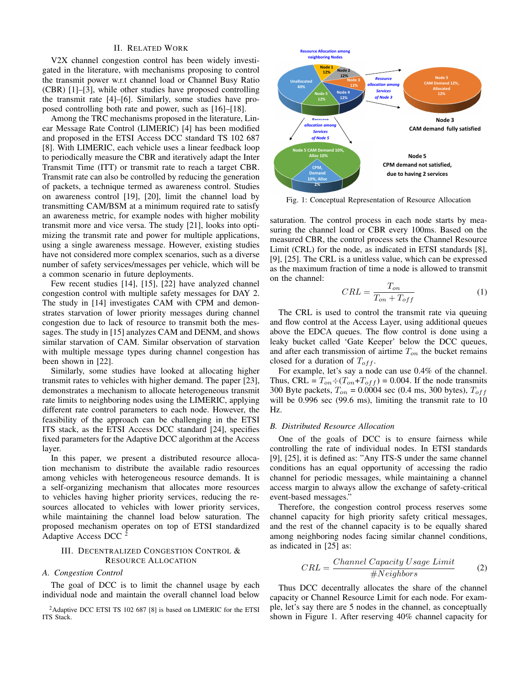## II. RELATED WORK

V2X channel congestion control has been widely investigated in the literature, with mechanisms proposing to control the transmit power w.r.t channel load or Channel Busy Ratio (CBR) [1]–[3], while other studies have proposed controlling the transmit rate [4]–[6]. Similarly, some studies have proposed controlling both rate and power, such as [16]–[18].

Among the TRC mechanisms proposed in the literature, Linear Message Rate Control (LIMERIC) [4] has been modified and proposed in the ETSI Access DCC standard TS 102 687 [8]. With LIMERIC, each vehicle uses a linear feedback loop to periodically measure the CBR and iteratively adapt the Inter Transmit Time (ITT) or transmit rate to reach a target CBR. Transmit rate can also be controlled by reducing the generation of packets, a technique termed as awareness control. Studies on awareness control [19], [20], limit the channel load by transmitting CAM/BSM at a minimum required rate to satisfy an awareness metric, for example nodes with higher mobility transmit more and vice versa. The study [21], looks into optimizing the transmit rate and power for multiple applications, using a single awareness message. However, existing studies have not considered more complex scenarios, such as a diverse number of safety services/messages per vehicle, which will be a common scenario in future deployments.

Few recent studies [14], [15], [22] have analyzed channel congestion control with multiple safety messages for DAY 2. The study in [14] investigates CAM with CPM and demonstrates starvation of lower priority messages during channel congestion due to lack of resource to transmit both the messages. The study in [15] analyzes CAM and DENM, and shows similar starvation of CAM. Similar observation of starvation with multiple message types during channel congestion has been shown in [22].

Similarly, some studies have looked at allocating higher transmit rates to vehicles with higher demand. The paper [23], demonstrates a mechanism to allocate heterogeneous transmit rate limits to neighboring nodes using the LIMERIC, applying different rate control parameters to each node. However, the feasibility of the approach can be challenging in the ETSI ITS stack, as the ETSI Access DCC standard [24], specifies fixed parameters for the Adaptive DCC algorithm at the Access layer.

In this paper, we present a distributed resource allocation mechanism to distribute the available radio resources among vehicles with heterogeneous resource demands. It is a self-organizing mechanism that allocates more resources to vehicles having higher priority services, reducing the resources allocated to vehicles with lower priority services, while maintaining the channel load below saturation. The proposed mechanism operates on top of ETSI standardized Adaptive Access DCC <sup>2</sup>

# III. DECENTRALIZED CONGESTION CONTROL & RESOURCE ALLOCATION

#### *A. Congestion Control*

The goal of DCC is to limit the channel usage by each individual node and maintain the overall channel load below



Fig. 1: Conceptual Representation of Resource Allocation

saturation. The control process in each node starts by measuring the channel load or CBR every 100ms. Based on the measured CBR, the control process sets the Channel Resource Limit (CRL) for the node, as indicated in ETSI standards [8], [9], [25]. The CRL is a unitless value, which can be expressed as the maximum fraction of time a node is allowed to transmit on the channel:

$$
CRL = \frac{T_{on}}{T_{on} + T_{off}}\tag{1}
$$

The CRL is used to control the transmit rate via queuing and flow control at the Access Layer, using additional queues above the EDCA queues. The flow control is done using a leaky bucket called 'Gate Keeper' below the DCC queues, and after each transmission of airtime  $T_{on}$  the bucket remains closed for a duration of  $T_{off}$ .

For example, let's say a node can use 0.4% of the channel. Thus, CRL =  $T_{on} \div (T_{on} + T_{off}) = 0.004$ . If the node transmits 300 Byte packets,  $T_{on} = 0.0004$  sec (0.4 ms, 300 bytes),  $T_{off}$ will be 0.996 sec (99.6 ms), limiting the transmit rate to  $10$ Hz.

#### *B. Distributed Resource Allocation*

One of the goals of DCC is to ensure fairness while controlling the rate of individual nodes. In ETSI standards [9], [25], it is defined as: "Any ITS-S under the same channel conditions has an equal opportunity of accessing the radio channel for periodic messages, while maintaining a channel access margin to always allow the exchange of safety-critical event-based messages."

Therefore, the congestion control process reserves some channel capacity for high priority safety critical messages, and the rest of the channel capacity is to be equally shared among neighboring nodes facing similar channel conditions, as indicated in [25] as:

$$
CRL = \frac{Channel\ Capacity\ Usage\ Limit}{\#Neighbors}
$$
 (2)

Thus DCC decentrally allocates the share of the channel capacity or Channel Resource Limit for each node. For example, let's say there are 5 nodes in the channel, as conceptually shown in Figure 1. After reserving 40% channel capacity for

<sup>2</sup>Adaptive DCC ETSI TS 102 687 [8] is based on LIMERIC for the ETSI ITS Stack.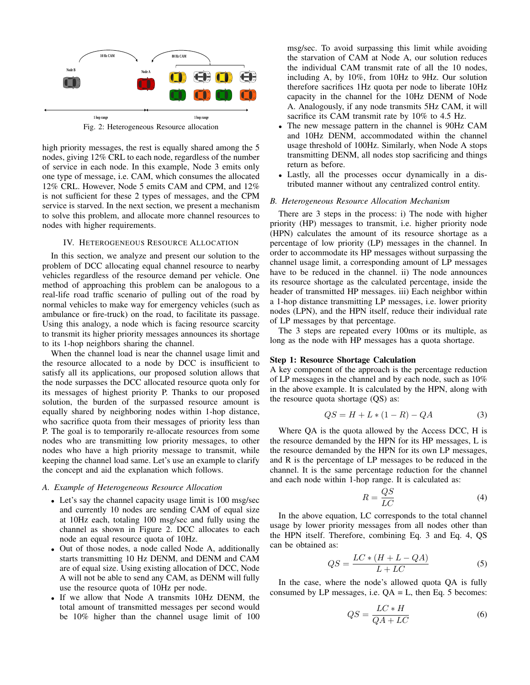

Fig. 2: Heterogeneous Resource allocation

high priority messages, the rest is equally shared among the 5 nodes, giving 12% CRL to each node, regardless of the number of service in each node. In this example, Node 3 emits only one type of message, i.e. CAM, which consumes the allocated 12% CRL. However, Node 5 emits CAM and CPM, and 12% is not sufficient for these 2 types of messages, and the CPM service is starved. In the next section, we present a mechanism to solve this problem, and allocate more channel resources to nodes with higher requirements.

## IV. HETEROGENEOUS RESOURCE ALLOCATION

In this section, we analyze and present our solution to the problem of DCC allocating equal channel resource to nearby vehicles regardless of the resource demand per vehicle. One method of approaching this problem can be analogous to a real-life road traffic scenario of pulling out of the road by normal vehicles to make way for emergency vehicles (such as ambulance or fire-truck) on the road, to facilitate its passage. Using this analogy, a node which is facing resource scarcity to transmit its higher priority messages announces its shortage to its 1-hop neighbors sharing the channel.

When the channel load is near the channel usage limit and the resource allocated to a node by DCC is insufficient to satisfy all its applications, our proposed solution allows that the node surpasses the DCC allocated resource quota only for its messages of highest priority P. Thanks to our proposed solution, the burden of the surpassed resource amount is equally shared by neighboring nodes within 1-hop distance, who sacrifice quota from their messages of priority less than P. The goal is to temporarily re-allocate resources from some nodes who are transmitting low priority messages, to other nodes who have a high priority message to transmit, while keeping the channel load same. Let's use an example to clarify the concept and aid the explanation which follows.

## *A. Example of Heterogeneous Resource Allocation*

- Let's say the channel capacity usage limit is 100 msg/sec and currently 10 nodes are sending CAM of equal size at 10Hz each, totaling 100 msg/sec and fully using the channel as shown in Figure 2. DCC allocates to each node an equal resource quota of 10Hz.
- Out of those nodes, a node called Node A, additionally starts transmitting 10 Hz DENM, and DENM and CAM are of equal size. Using existing allocation of DCC, Node A will not be able to send any CAM, as DENM will fully use the resource quota of 10Hz per node.
- If we allow that Node A transmits 10Hz DENM, the total amount of transmitted messages per second would be 10% higher than the channel usage limit of 100

msg/sec. To avoid surpassing this limit while avoiding the starvation of CAM at Node A, our solution reduces the individual CAM transmit rate of all the 10 nodes, including A, by 10%, from 10Hz to 9Hz. Our solution therefore sacrifices 1Hz quota per node to liberate 10Hz capacity in the channel for the 10Hz DENM of Node A. Analogously, if any node transmits 5Hz CAM, it will sacrifice its CAM transmit rate by 10% to 4.5 Hz.

- The new message pattern in the channel is 90Hz CAM and 10Hz DENM, accommodated within the channel usage threshold of 100Hz. Similarly, when Node A stops transmitting DENM, all nodes stop sacrificing and things return as before.
- Lastly, all the processes occur dynamically in a distributed manner without any centralized control entity.

#### *B. Heterogeneous Resource Allocation Mechanism*

There are 3 steps in the process: i) The node with higher priority (HP) messages to transmit, i.e. higher priority node (HPN) calculates the amount of its resource shortage as a percentage of low priority (LP) messages in the channel. In order to accommodate its HP messages without surpassing the channel usage limit, a corresponding amount of LP messages have to be reduced in the channel. ii) The node announces its resource shortage as the calculated percentage, inside the header of transmitted HP messages. iii) Each neighbor within a 1-hop distance transmitting LP messages, i.e. lower priority nodes (LPN), and the HPN itself, reduce their individual rate of LP messages by that percentage.

The 3 steps are repeated every 100ms or its multiple, as long as the node with HP messages has a quota shortage.

#### Step 1: Resource Shortage Calculation

A key component of the approach is the percentage reduction of LP messages in the channel and by each node, such as 10% in the above example. It is calculated by the HPN, along with the resource quota shortage (QS) as:

$$
QS = H + L * (1 - R) - QA \tag{3}
$$

Where QA is the quota allowed by the Access DCC, H is the resource demanded by the HPN for its HP messages, L is the resource demanded by the HPN for its own LP messages, and R is the percentage of LP messages to be reduced in the channel. It is the same percentage reduction for the channel and each node within 1-hop range. It is calculated as:

$$
R = \frac{QS}{LC}
$$
 (4)

In the above equation, LC corresponds to the total channel usage by lower priority messages from all nodes other than the HPN itself. Therefore, combining Eq. 3 and Eq. 4, QS can be obtained as:

$$
QS = \frac{LC * (H + L - QA)}{L + LC}
$$
 (5)

In the case, where the node's allowed quota QA is fully consumed by LP messages, i.e.  $QA = L$ , then Eq. 5 becomes:

$$
QS = \frac{LC * H}{QA + LC}
$$
 (6)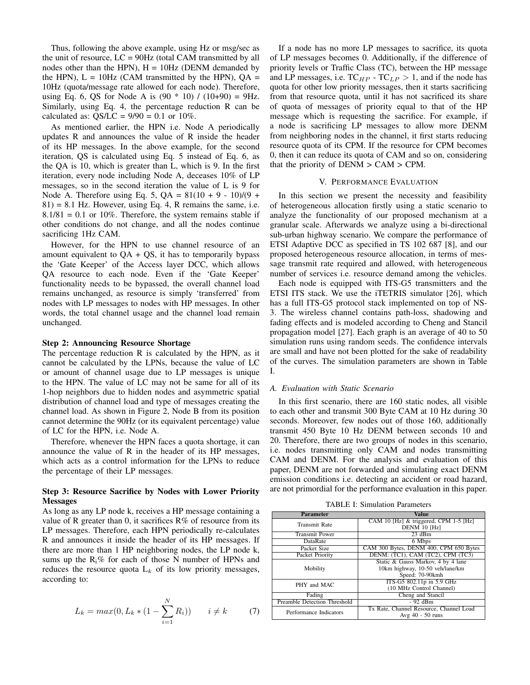Thus, following the above example, using Hz or msg/sec as the unit of resource, LC = 90Hz (total CAM transmitted by all nodes other than the HPN),  $H = 10Hz$  (DENM demanded by the HPN),  $L = 10Hz$  (CAM transmitted by the HPN),  $OA =$ 10Hz (quota/message rate allowed for each node). Therefore, using Eq. 6, QS for Node A is  $(90 * 10) / (10+90) = 9$ Hz. Similarly, using Eq. 4, the percentage reduction R can be calculated as:  $OS/LC = 9/90 = 0.1$  or  $10\%$ .

As mentioned earlier, the HPN i.e. Node A periodically updates R and announces the value of R inside the header of its HP messages. In the above example, for the second iteration, QS is calculated using Eq. 5 instead of Eq. 6, as the QA is 10, which is greater than L, which is 9. In the first iteration, every node including Node A, deceases 10% of LP messages, so in the second iteration the value of L is 9 for Node A. Therefore using Eq. 5,  $QA = 81(10 + 9 - 10)/(9 + 10)$  $81$  = 8.1 Hz. However, using Eq. 4, R remains the same, i.e.  $8.1/81 = 0.1$  or 10%. Therefore, the system remains stable if other conditions do not change, and all the nodes continue sacrificing 1Hz CAM.

However, for the HPN to use channel resource of an amount equivalent to  $QA + QS$ , it has to temporarily bypass the 'Gate Keeper' of the Access layer DCC, which allows QA resource to each node. Even if the 'Gate Keeper' functionality needs to be bypassed, the overall channel load remains unchanged, as resource is simply 'transferred' from nodes with LP messages to nodes with HP messages. In other words, the total channel usage and the channel load remain unchanged.

#### Step 2: Announcing Resource Shortage

The percentage reduction R is calculated by the HPN, as it cannot be calculated by the LPNs, because the value of LC or amount of channel usage due to LP messages is unique to the HPN. The value of LC may not be same for all of its 1-hop neighbors due to hidden nodes and asymmetric spatial distribution of channel load and type of messages creating the channel load. As shown in Figure 2, Node B from its position cannot determine the 90Hz (or its equivalent percentage) value of LC for the HPN, i.e. Node A.

Therefore, whenever the HPN faces a quota shortage, it can announce the value of R in the header of its HP messages, which acts as a control information for the LPNs to reduce the percentage of their LP messages.

# Step 3: Resource Sacrifice by Nodes with Lower Priority Messages

As long as any LP node k, receives a HP message containing a value of R greater than 0, it sacrifices  $R\%$  of resource from its LP messages. Therefore, each HPN periodically re-calculates R and announces it inside the header of its HP messages. If there are more than 1 HP neighboring nodes, the LP node k, sums up the  $R_i$ % for each of those N number of HPNs and reduces the resource quota  $L_k$  of its low priority messages, according to:

$$
L_k = max(0, L_k * (1 - \sum_{i=1}^{N} R_i)) \qquad i \neq k \tag{7}
$$

If a node has no more LP messages to sacrifice, its quota of LP messages becomes 0. Additionally, if the difference of priority levels or Traffic Class (TC), between the HP message and LP messages, i.e.  $TC_{HP}$  -  $TC_{LP} > 1$ , and if the node has quota for other low priority messages, then it starts sacrificing from that resource quota, until it has not sacrificed its share of quota of messages of priority equal to that of the HP message which is requesting the sacrifice. For example, if a node is sacrificing LP messages to allow more DENM from neighboring nodes in the channel, it first starts reducing resource quota of its CPM. If the resource for CPM becomes 0, then it can reduce its quota of CAM and so on, considering that the priority of  $DEMM > CAM > CPM$ .

#### V. PERFORMANCE EVALUATION

In this section we present the necessity and feasibility of heterogeneous allocation firstly using a static scenario to analyze the functionality of our proposed mechanism at a granular scale. Afterwards we analyze using a bi-directional sub-urban highway scenario. We compare the performance of ETSI Adaptive DCC as specified in TS 102 687 [8], and our proposed heterogeneous resource allocation, in terms of message transmit rate required and allowed, with heterogeneous number of services i.e. resource demand among the vehicles.

Each node is equipped with ITS-G5 transmitters and the ETSI ITS stack. We use the iTETRIS simulator [26], which has a full ITS-G5 protocol stack implemented on top of NS-3. The wireless channel contains path-loss, shadowing and fading effects and is modeled according to Cheng and Stancil propagation model [27]. Each graph is an average of 40 to 50 simulation runs using random seeds. The confidence intervals are small and have not been plotted for the sake of readability of the curves. The simulation parameters are shown in Table I.

#### *A. Evaluation with Static Scenario*

In this first scenario, there are 160 static nodes, all visible to each other and transmit 300 Byte CAM at 10 Hz during 30 seconds. Moreover, few nodes out of those 160, additionally transmit 450 Byte 10 Hz DENM between seconds 10 and 20. Therefore, there are two groups of nodes in this scenario, i.e. nodes transmitting only CAM and nodes transmitting CAM and DENM. For the analysis and evaluation of this paper, DENM are not forwarded and simulating exact DENM emission conditions i.e. detecting an accident or road hazard, are not primordial for the performance evaluation in this paper.

TABLE I: Simulation Parameters

| <b>Parameter</b>                    | Value                                   |
|-------------------------------------|-----------------------------------------|
| <b>Transmit Rate</b>                | CAM 10 [Hz] & triggered, CPM 1-5 [Hz]   |
|                                     | DENM 10 [Hz]                            |
| <b>Transmit Power</b>               | $23$ dBm                                |
| DataRate                            | 6 Mbps                                  |
| Packet Size                         | CAM 300 Bytes, DENM 400, CPM 650 Bytes  |
| Packet Priority                     | DENM: (TC1), CAM (TC2), CPM (TC3)       |
| Mobility                            | Static & Gauss Markov, 4 by 4 lane      |
|                                     | 10km highway, 10-50 veh/lane/km         |
|                                     | Speed: 70-90kmh                         |
| PHY and MAC                         | ITS-G5 802.11p in 5.9 GHz               |
|                                     | (10 MHz Control Channel)                |
| Fading                              | Cheng and Stancil                       |
| <b>Preamble Detection Threshold</b> | $-92$ dBm                               |
| Performance Indicators              | Tx Rate, Channel Resource, Channel Load |
|                                     | Avg 40 - 50 runs                        |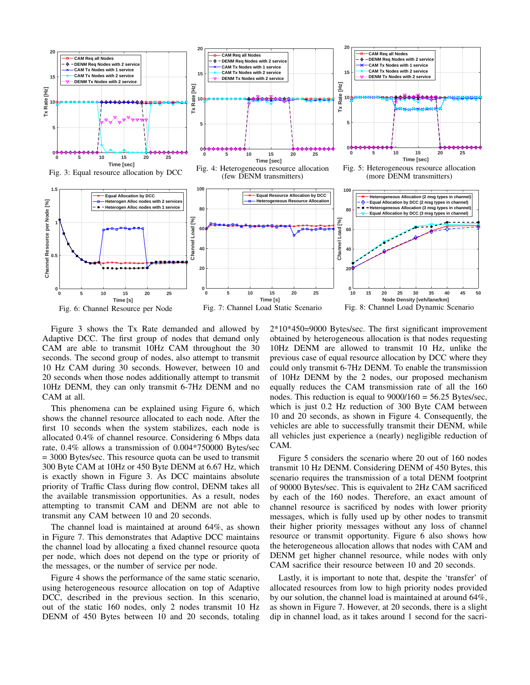

Figure 3 shows the Tx Rate demanded and allowed by Adaptive DCC. The first group of nodes that demand only CAM are able to transmit 10Hz CAM throughout the 30 seconds. The second group of nodes, also attempt to transmit 10 Hz CAM during 30 seconds. However, between 10 and 20 seconds when those nodes additionally attempt to transmit 10Hz DENM, they can only transmit 6-7Hz DENM and no CAM at all.

This phenomena can be explained using Figure 6, which shows the channel resource allocated to each node. After the first 10 seconds when the system stabilizes, each node is allocated 0.4% of channel resource. Considering 6 Mbps data rate, 0.4% allows a transmission of 0.004\*750000 Bytes/sec = 3000 Bytes/sec. This resource quota can be used to transmit 300 Byte CAM at 10Hz or 450 Byte DENM at 6.67 Hz, which is exactly shown in Figure 3. As DCC maintains absolute priority of Traffic Class during flow control, DENM takes all the available transmission opportunities. As a result, nodes attempting to transmit CAM and DENM are not able to transmit any CAM between 10 and 20 seconds.

The channel load is maintained at around 64%, as shown in Figure 7. This demonstrates that Adaptive DCC maintains the channel load by allocating a fixed channel resource quota per node, which does not depend on the type or priority of the messages, or the number of service per node.

Figure 4 shows the performance of the same static scenario, using heterogeneous resource allocation on top of Adaptive DCC, described in the previous section. In this scenario, out of the static 160 nodes, only 2 nodes transmit 10 Hz DENM of 450 Bytes between 10 and 20 seconds, totaling 2\*10\*450=9000 Bytes/sec. The first significant improvement obtained by heterogeneous allocation is that nodes requesting 10Hz DENM are allowed to transmit 10 Hz, unlike the previous case of equal resource allocation by DCC where they could only transmit 6-7Hz DENM. To enable the transmission of 10Hz DENM by the 2 nodes, our proposed mechanism equally reduces the CAM transmission rate of all the 160 nodes. This reduction is equal to  $9000/160 = 56.25$  Bytes/sec, which is just 0.2 Hz reduction of 300 Byte CAM between 10 and 20 seconds, as shown in Figure 4. Consequently, the vehicles are able to successfully transmit their DENM, while all vehicles just experience a (nearly) negligible reduction of CAM.

Figure 5 considers the scenario where 20 out of 160 nodes transmit 10 Hz DENM. Considering DENM of 450 Bytes, this scenario requires the transmission of a total DENM footprint of 90000 Bytes/sec. This is equivalent to 2Hz CAM sacrificed by each of the 160 nodes. Therefore, an exact amount of channel resource is sacrificed by nodes with lower priority messages, which is fully used up by other nodes to transmit their higher priority messages without any loss of channel resource or transmit opportunity. Figure 6 also shows how the heterogeneous allocation allows that nodes with CAM and DENM get higher channel resource, while nodes with only CAM sacrifice their resource between 10 and 20 seconds.

Lastly, it is important to note that, despite the 'transfer' of allocated resources from low to high priority nodes provided by our solution, the channel load is maintained at around 64%, as shown in Figure 7. However, at 20 seconds, there is a slight dip in channel load, as it takes around 1 second for the sacri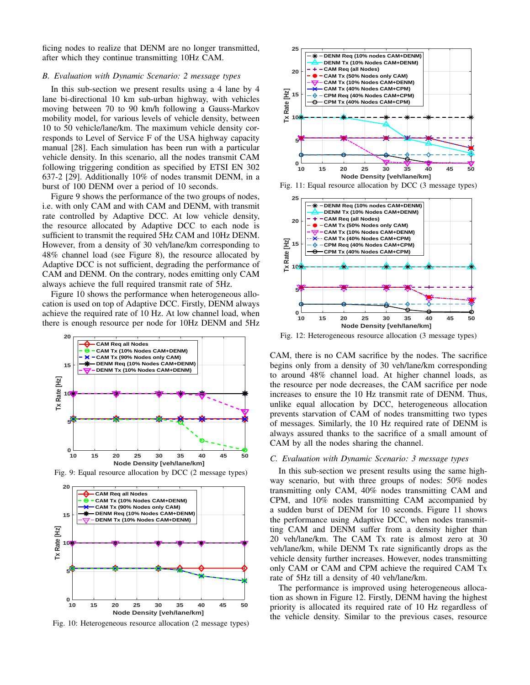ficing nodes to realize that DENM are no longer transmitted, after which they continue transmitting 10Hz CAM.

## *B. Evaluation with Dynamic Scenario: 2 message types*

In this sub-section we present results using a 4 lane by 4 lane bi-directional 10 km sub-urban highway, with vehicles moving between 70 to 90 km/h following a Gauss-Markov mobility model, for various levels of vehicle density, between 10 to 50 vehicle/lane/km. The maximum vehicle density corresponds to Level of Service F of the USA highway capacity manual [28]. Each simulation has been run with a particular vehicle density. In this scenario, all the nodes transmit CAM following triggering condition as specified by ETSI EN 302 637-2 [29]. Additionally 10% of nodes transmit DENM, in a burst of 100 DENM over a period of 10 seconds.

Figure 9 shows the performance of the two groups of nodes, i.e. with only CAM and with CAM and DENM, with transmit rate controlled by Adaptive DCC. At low vehicle density, the resource allocated by Adaptive DCC to each node is sufficient to transmit the required 5Hz CAM and 10Hz DENM. However, from a density of 30 veh/lane/km corresponding to 48% channel load (see Figure 8), the resource allocated by Adaptive DCC is not sufficient, degrading the performance of CAM and DENM. On the contrary, nodes emitting only CAM always achieve the full required transmit rate of 5Hz.

Figure 10 shows the performance when heterogeneous allocation is used on top of Adaptive DCC. Firstly, DENM always achieve the required rate of 10 Hz. At low channel load, when there is enough resource per node for 10Hz DENM and 5Hz



Fig. 9: Equal resource allocation by DCC (2 message types)



Fig. 10: Heterogeneous resource allocation (2 message types)



Fig. 11: Equal resource allocation by DCC (3 message types)



Fig. 12: Heterogeneous resource allocation (3 message types)

CAM, there is no CAM sacrifice by the nodes. The sacrifice begins only from a density of 30 veh/lane/km corresponding to around 48% channel load. At higher channel loads, as the resource per node decreases, the CAM sacrifice per node increases to ensure the 10 Hz transmit rate of DENM. Thus, unlike equal allocation by DCC, heterogeneous allocation prevents starvation of CAM of nodes transmitting two types of messages. Similarly, the 10 Hz required rate of DENM is always assured thanks to the sacrifice of a small amount of CAM by all the nodes sharing the channel.

## *C. Evaluation with Dynamic Scenario: 3 message types*

In this sub-section we present results using the same highway scenario, but with three groups of nodes: 50% nodes transmitting only CAM, 40% nodes transmitting CAM and CPM, and 10% nodes transmitting CAM accompanied by a sudden burst of DENM for 10 seconds. Figure 11 shows the performance using Adaptive DCC, when nodes transmitting CAM and DENM suffer from a density higher than 20 veh/lane/km. The CAM Tx rate is almost zero at 30 veh/lane/km, while DENM Tx rate significantly drops as the vehicle density further increases. However, nodes transmitting only CAM or CAM and CPM achieve the required CAM Tx rate of 5Hz till a density of 40 veh/lane/km.

The performance is improved using heterogeneous allocation as shown in Figure 12. Firstly, DENM having the highest priority is allocated its required rate of 10 Hz regardless of the vehicle density. Similar to the previous cases, resource